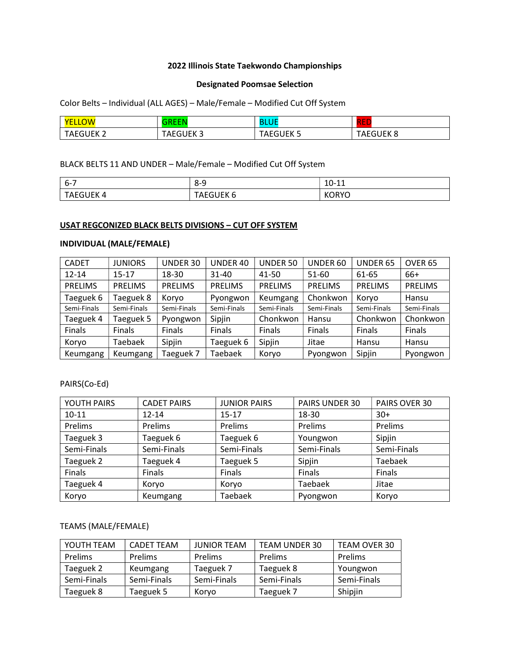# 2022 Illinois State Taekwondo Championships

## Designated Poomsae Selection

Color Belts – Individual (ALL AGES) – Male/Female – Modified Cut Off System

| <b>NO</b><br><b>VE</b>                | $  -$<br>---                      | D<br>ÐI<br>u   | חםכ<br><b>STEP 18</b> |
|---------------------------------------|-----------------------------------|----------------|-----------------------|
| IFK <sub>2</sub><br><b>TAEGL</b><br>∼ | IEK 3<br>TAE.<br>-- - - - - - - - | JUEK 5<br>AEGl | GUEK 8<br>⊤AE∖        |

# BLACK BELTS 11 AND UNDER – Male/Female – Modified Cut Off System

| $6 - 7$                       | $8-9$                | $10 - 11$<br>╌┸┸<br>$\sim$ |
|-------------------------------|----------------------|----------------------------|
| <b>IFK</b><br>'N<br>---<br>¬∟ | IFK 6<br>᠇᠕ͱ<br>---- | $'$ )K .<br>NU<br>╰        |

#### USAT REGCONIZED BLACK BELTS DIVISIONS – CUT OFF SYSTEM

## INDIVIDUAL (MALE/FEMALE)

| <b>CADET</b>   | <b>JUNIORS</b> | UNDER 30       | UNDER 40       | UNDER 50       | UNDER 60       | UNDER 65       | OVER <sub>65</sub> |
|----------------|----------------|----------------|----------------|----------------|----------------|----------------|--------------------|
| $12 - 14$      | 15-17          | 18-30          | $31 - 40$      | 41-50          | 51-60          | 61-65          | 66+                |
| <b>PRELIMS</b> | <b>PRELIMS</b> | <b>PRELIMS</b> | <b>PRELIMS</b> | <b>PRELIMS</b> | <b>PRELIMS</b> | <b>PRELIMS</b> | <b>PRELIMS</b>     |
| Taeguek 6      | Taeguek 8      | Koryo          | Pyongwon       | Keumgang       | Chonkwon       | Korvo          | Hansu              |
| Semi-Finals    | Semi-Finals    | Semi-Finals    | Semi-Finals    | Semi-Finals    | Semi-Finals    | Semi-Finals    | Semi-Finals        |
| Taeguek 4      | Taeguek 5      | Pyongwon       | Sipjin         | Chonkwon       | Hansu          | Chonkwon       | Chonkwon           |
| <b>Finals</b>  | <b>Finals</b>  | Finals         | Finals         | Finals         | Finals         | Finals         | Finals             |
| Koryo          | Taebaek        | Sipjin         | Taeguek 6      | Sipjin         | Jitae          | Hansu          | Hansu              |
| Keumgang       | Keumgang       | Taeguek 7      | Taebaek        | Koryo          | Pyongwon       | Sipjin         | Pyongwon           |

# PAIRS(Co-Ed)

| YOUTH PAIRS | <b>CADET PAIRS</b> | <b>JUNIOR PAIRS</b> | PAIRS UNDER 30 | PAIRS OVER 30 |
|-------------|--------------------|---------------------|----------------|---------------|
| $10 - 11$   | $12 - 14$          | $15 - 17$           | 18-30          | $30+$         |
| Prelims     | Prelims            | Prelims             | Prelims        | Prelims       |
| Taeguek 3   | Taeguek 6          | Taeguek 6           | Youngwon       | Sipjin        |
| Semi-Finals | Semi-Finals        | Semi-Finals         | Semi-Finals    | Semi-Finals   |
| Taeguek 2   | Taeguek 4          | Taeguek 5           | Sipjin         | Taebaek       |
| Finals      | Finals             | Finals              | Finals         | Finals        |
| Taeguek 4   | Koryo              | Koryo               | <b>Taebaek</b> | Jitae         |
| Koryo       | Keumgang           | <b>Taebaek</b>      | Pyongwon       | Koryo         |

# TEAMS (MALE/FEMALE)

| YOUTH TEAM  | <b>CADET TEAM</b> | <b>JUNIOR TEAM</b> | <b>TEAM UNDER 30</b> | TEAM OVER 30   |
|-------------|-------------------|--------------------|----------------------|----------------|
| Prelims     | <b>Prelims</b>    | <b>Prelims</b>     | <b>Prelims</b>       | <b>Prelims</b> |
| Taeguek 2   | Keumgang          | Taeguek 7          | Taeguek 8            | Youngwon       |
| Semi-Finals | Semi-Finals       | Semi-Finals        | Semi-Finals          | Semi-Finals    |
| Taeguek 8   | Taeguek 5         | Korvo              | Taeguek 7            | Shipjin        |